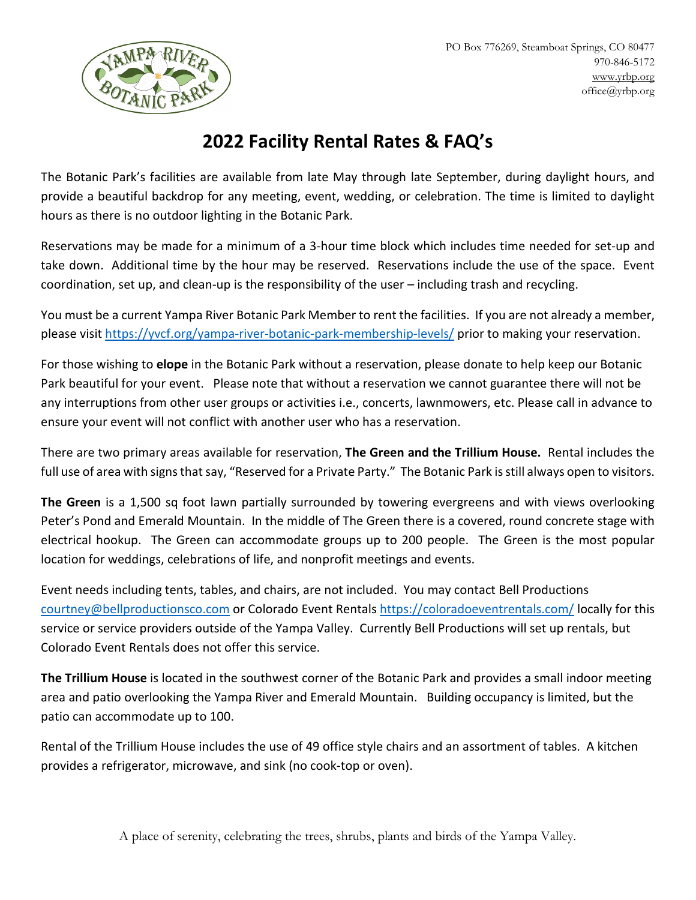

## **2022 Facility Rental Rates & FAQ's**

The Botanic Park's facilities are available from late May through late September, during daylight hours, and provide a beautiful backdrop for any meeting, event, wedding, or celebration. The time is limited to daylight hours as there is no outdoor lighting in the Botanic Park.

Reservations may be made for a minimum of a 3-hour time block which includes time needed for set-up and take down. Additional time by the hour may be reserved. Reservations include the use of the space. Event coordination, set up, and clean-up is the responsibility of the user – including trash and recycling.

You must be a current Yampa River Botanic Park Member to rent the facilities. If you are not already a member, please visit<https://yvcf.org/yampa-river-botanic-park-membership-levels/> prior to making your reservation.

For those wishing to **elope** in the Botanic Park without a reservation, please donate to help keep our Botanic Park beautiful for your event. Please note that without a reservation we cannot guarantee there will not be any interruptions from other user groups or activities i.e., concerts, lawnmowers, etc. Please call in advance to ensure your event will not conflict with another user who has a reservation.

There are two primary areas available for reservation, **The Green and the Trillium House.** Rental includes the full use of area with signs that say, "Reserved for a Private Party." The Botanic Park is still always open to visitors.

**The Green** is a 1,500 sq foot lawn partially surrounded by towering evergreens and with views overlooking Peter's Pond and Emerald Mountain. In the middle of The Green there is a covered, round concrete stage with electrical hookup. The Green can accommodate groups up to 200 people. The Green is the most popular location for weddings, celebrations of life, and nonprofit meetings and events.

Event needs including tents, tables, and chairs, are not included. You may contact Bell Productions [courtney@bellproductionsco.com](mailto:courtney@bellproductionsco.com) or Colorado Event Rentals<https://coloradoeventrentals.com/> locally for this service or service providers outside of the Yampa Valley. Currently Bell Productions will set up rentals, but Colorado Event Rentals does not offer this service.

**The Trillium House** is located in the southwest corner of the Botanic Park and provides a small indoor meeting area and patio overlooking the Yampa River and Emerald Mountain. Building occupancy is limited, but the patio can accommodate up to 100.

Rental of the Trillium House includes the use of 49 office style chairs and an assortment of tables. A kitchen provides a refrigerator, microwave, and sink (no cook-top or oven).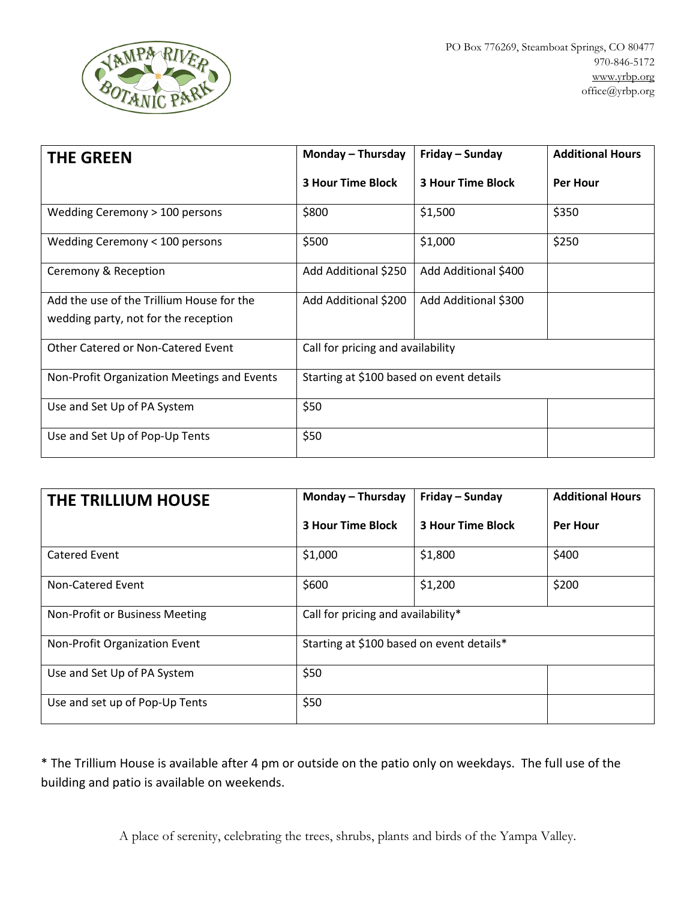

| <b>THE GREEN</b>                            | Monday - Thursday                        | Friday – Sunday          | <b>Additional Hours</b> |
|---------------------------------------------|------------------------------------------|--------------------------|-------------------------|
|                                             | <b>3 Hour Time Block</b>                 | <b>3 Hour Time Block</b> | <b>Per Hour</b>         |
| Wedding Ceremony > 100 persons              | \$800                                    | \$1,500                  | \$350                   |
| Wedding Ceremony < 100 persons              | \$500                                    | \$1,000                  | \$250                   |
| Ceremony & Reception                        | Add Additional \$250                     | Add Additional \$400     |                         |
| Add the use of the Trillium House for the   | Add Additional \$200                     | Add Additional \$300     |                         |
| wedding party, not for the reception        |                                          |                          |                         |
| Other Catered or Non-Catered Event          | Call for pricing and availability        |                          |                         |
| Non-Profit Organization Meetings and Events | Starting at \$100 based on event details |                          |                         |
| Use and Set Up of PA System                 | \$50                                     |                          |                         |
| Use and Set Up of Pop-Up Tents              | \$50                                     |                          |                         |

| THE TRILLIUM HOUSE             | Monday - Thursday                         | Friday – Sunday          | <b>Additional Hours</b> |
|--------------------------------|-------------------------------------------|--------------------------|-------------------------|
|                                | <b>3 Hour Time Block</b>                  | <b>3 Hour Time Block</b> | <b>Per Hour</b>         |
| <b>Catered Event</b>           | \$1,000                                   | \$1,800                  | \$400                   |
| Non-Catered Event              | \$600                                     | \$1,200                  | \$200                   |
| Non-Profit or Business Meeting | Call for pricing and availability*        |                          |                         |
| Non-Profit Organization Event  | Starting at \$100 based on event details* |                          |                         |
| Use and Set Up of PA System    | \$50                                      |                          |                         |
| Use and set up of Pop-Up Tents | \$50                                      |                          |                         |

\* The Trillium House is available after 4 pm or outside on the patio only on weekdays. The full use of the building and patio is available on weekends.

A place of serenity, celebrating the trees, shrubs, plants and birds of the Yampa Valley.